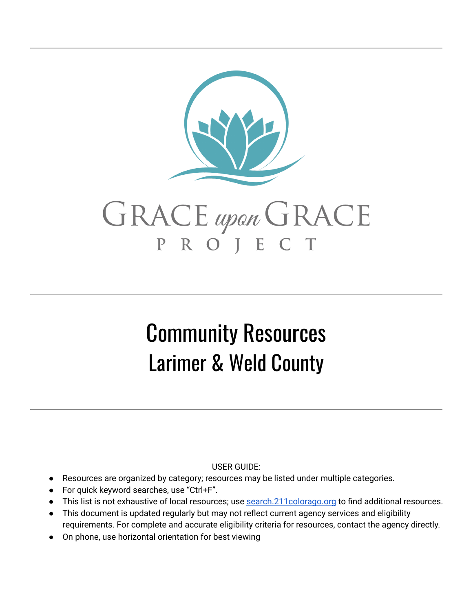

# Community Resources Larimer & Weld County

USER GUIDE:

- Resources are organized by category; resources may be listed under multiple categories.
- For quick keyword searches, use "Ctrl+F".
- This list is not exhaustive of local resources; use search. 211 colorago.org to find additional resources.
- This document is updated regularly but may not reflect current agency services and eligibility requirements. For complete and accurate eligibility criteria for resources, contact the agency directly.
- On phone, use horizontal orientation for best viewing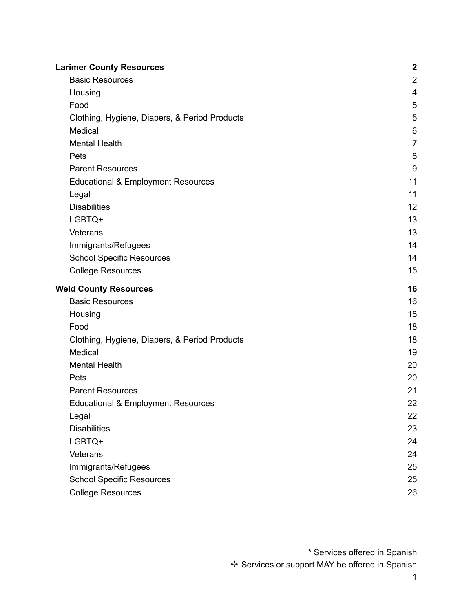| <b>Larimer County Resources</b>               | $\boldsymbol{2}$ |
|-----------------------------------------------|------------------|
| <b>Basic Resources</b>                        | $\mathbf 2$      |
| Housing                                       | $\overline{4}$   |
| Food                                          | 5                |
| Clothing, Hygiene, Diapers, & Period Products | 5                |
| Medical                                       | 6                |
| <b>Mental Health</b>                          | $\overline{7}$   |
| Pets                                          | 8                |
| <b>Parent Resources</b>                       | 9                |
| <b>Educational &amp; Employment Resources</b> | 11               |
| Legal                                         | 11               |
| <b>Disabilities</b>                           | 12               |
| LGBTQ+                                        | 13               |
| Veterans                                      | 13               |
| Immigrants/Refugees                           | 14               |
| <b>School Specific Resources</b>              | 14               |
| <b>College Resources</b>                      | 15               |
| <b>Weld County Resources</b>                  | 16               |
| <b>Basic Resources</b>                        | 16               |
| Housing                                       | 18               |
| Food                                          | 18               |
| Clothing, Hygiene, Diapers, & Period Products | 18               |
| Medical                                       | 19               |
| <b>Mental Health</b>                          | 20               |
| Pets                                          | 20               |
| <b>Parent Resources</b>                       | 21               |
| <b>Educational &amp; Employment Resources</b> | 22               |
| Legal                                         | 22               |
| <b>Disabilities</b>                           | 23               |
| LGBTQ+                                        | 24               |
| Veterans                                      | 24               |
| Immigrants/Refugees                           | 25               |
| <b>School Specific Resources</b>              | 25               |
| <b>College Resources</b>                      | 26               |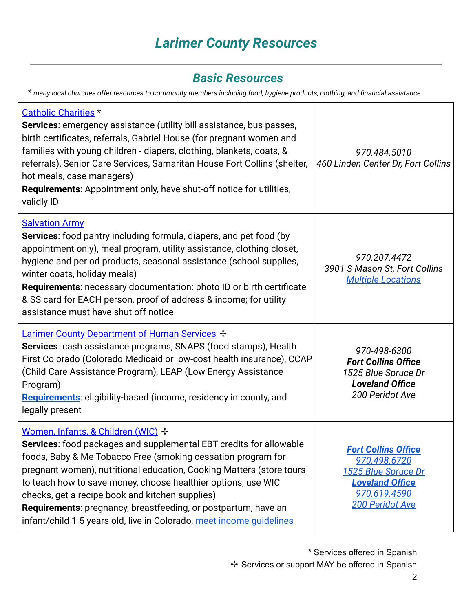# *Larimer County Resources*

#### *Basic Resources*

<span id="page-2-1"></span><span id="page-2-0"></span>*\* many local churches offer resources to community members including food, hygiene products, clothing, and financial assistance*

| <b>Catholic Charities</b> *<br>Services: emergency assistance (utility bill assistance, bus passes,<br>birth certificates, referrals, Gabriel House (for pregnant women and<br>families with young children - diapers, clothing, blankets, coats, &<br>referrals), Senior Care Services, Samaritan House Fort Collins (shelter,<br>hot meals, case managers)<br>Requirements: Appointment only, have shut-off notice for utilities,<br>validly ID                                                              | 970.484.5010<br>460 Linden Center Dr, Fort Collins                                                                             |
|----------------------------------------------------------------------------------------------------------------------------------------------------------------------------------------------------------------------------------------------------------------------------------------------------------------------------------------------------------------------------------------------------------------------------------------------------------------------------------------------------------------|--------------------------------------------------------------------------------------------------------------------------------|
| <b>Salvation Army</b><br>Services: food pantry including formula, diapers, and pet food (by<br>appointment only), meal program, utility assistance, clothing closet,<br>hygiene and period products, seasonal assistance (school supplies,<br>winter coats, holiday meals)<br>Requirements: necessary documentation: photo ID or birth certificate<br>& SS card for EACH person, proof of address & income; for utility<br>assistance must have shut off notice                                                | 970.207.4472<br>3901 S Mason St, Fort Collins<br><b>Multiple Locations</b>                                                     |
| Larimer County Department of Human Services +<br>Services: cash assistance programs, SNAPS (food stamps), Health<br>First Colorado (Colorado Medicaid or low-cost health insurance), CCAP<br>(Child Care Assistance Program), LEAP (Low Energy Assistance<br>Program)<br>Requirements: eligibility-based (income, residency in county, and<br>legally present                                                                                                                                                  | 970-498-6300<br><b>Fort Collins Office</b><br>1525 Blue Spruce Dr<br><b>Loveland Office</b><br>200 Peridot Ave                 |
| Women, Infants, & Children (WIC) +<br>Services: food packages and supplemental EBT credits for allowable<br>foods, Baby & Me Tobacco Free (smoking cessation program for<br>pregnant women), nutritional education, Cooking Matters (store tours<br>to teach how to save money, choose healthier options, use WIC<br>checks, get a recipe book and kitchen supplies)<br>Requirements: pregnancy, breastfeeding, or postpartum, have an<br>infant/child 1-5 years old, live in Colorado, meet income quidelines | <b>Fort Collins Office</b><br>970.498.6720<br>1525 Blue Spruce Dr<br><b>Loveland Office</b><br>970.619.4590<br>200 Peridot Ave |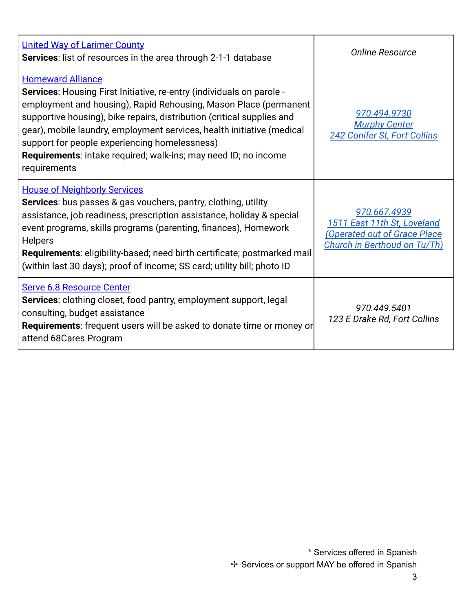| <b>United Way of Larimer County</b><br>Services: list of resources in the area through 2-1-1 database                                                                                                                                                                                                                                                                                                                                                                | <b>Online Resource</b>                                                                                                    |
|----------------------------------------------------------------------------------------------------------------------------------------------------------------------------------------------------------------------------------------------------------------------------------------------------------------------------------------------------------------------------------------------------------------------------------------------------------------------|---------------------------------------------------------------------------------------------------------------------------|
| <b>Homeward Alliance</b><br>Services: Housing First Initiative, re-entry (individuals on parole -<br>employment and housing), Rapid Rehousing, Mason Place (permanent<br>supportive housing), bike repairs, distribution (critical supplies and<br>gear), mobile laundry, employment services, health initiative (medical<br>support for people experiencing homelessness)<br><b>Requirements:</b> intake required; walk-ins; may need ID; no income<br>requirements | 970.494.9730<br><b>Murphy Center</b><br>242 Conifer St, Fort Collins                                                      |
| <b>House of Neighborly Services</b><br>Services: bus passes & gas vouchers, pantry, clothing, utility<br>assistance, job readiness, prescription assistance, holiday & special<br>event programs, skills programs (parenting, finances), Homework<br><b>Helpers</b><br>Requirements: eligibility-based; need birth certificate; postmarked mail<br>(within last 30 days); proof of income; SS card; utility bill; photo ID                                           | 970.667.4939<br>1511 East 11th St, Loveland<br><b>(Operated out of Grace Place</b><br><b>Church in Berthoud on Tu/Th)</b> |
| <b>Serve 6.8 Resource Center</b><br><b>Services:</b> clothing closet, food pantry, employment support, legal<br>consulting, budget assistance<br><b>Requirements:</b> frequent users will be asked to donate time or money or<br>attend 68Cares Program                                                                                                                                                                                                              | 970.449.5401<br>123 E Drake Rd, Fort Collins                                                                              |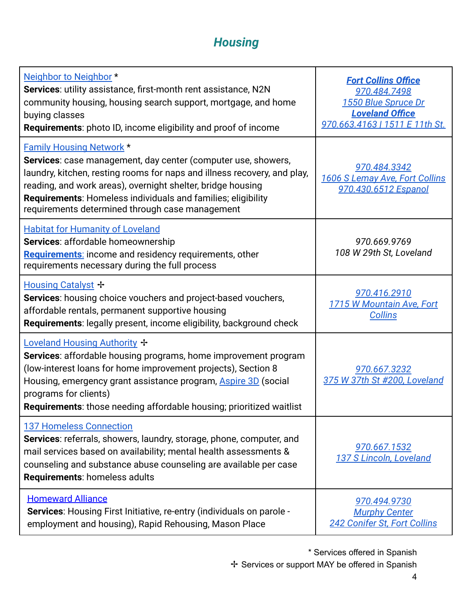# *Housing*

<span id="page-4-0"></span>

| Neighbor to Neighbor *<br>Services: utility assistance, first-month rent assistance, N2N<br>community housing, housing search support, mortgage, and home<br>buying classes<br><b>Requirements:</b> photo ID, income eligibility and proof of income                                                                                                           | <b>Fort Collins Office</b><br>970.484.7498<br>1550 Blue Spruce Dr<br><b>Loveland Office</b><br>970.663.4163   1511 E 11th St. |
|----------------------------------------------------------------------------------------------------------------------------------------------------------------------------------------------------------------------------------------------------------------------------------------------------------------------------------------------------------------|-------------------------------------------------------------------------------------------------------------------------------|
| <b>Family Housing Network *</b><br>Services: case management, day center (computer use, showers,<br>laundry, kitchen, resting rooms for naps and illness recovery, and play,<br>reading, and work areas), overnight shelter, bridge housing<br>Requirements: Homeless individuals and families; eligibility<br>requirements determined through case management | 970.484.3342<br>1606 S Lemay Ave, Fort Collins<br>970.430.6512 Espanol                                                        |
| <b>Habitat for Humanity of Loveland</b><br>Services: affordable homeownership<br>Requirements: income and residency requirements, other<br>requirements necessary during the full process                                                                                                                                                                      | 970.669.9769<br>108 W 29th St, Loveland                                                                                       |
| Housing Catalyst +<br>Services: housing choice vouchers and project-based vouchers,<br>affordable rentals, permanent supportive housing<br>Requirements: legally present, income eligibility, background check                                                                                                                                                 | 970.416.2910<br>1715 W Mountain Ave, Fort<br><b>Collins</b>                                                                   |
| Loveland Housing Authority +<br>Services: affordable housing programs, home improvement program<br>(low-interest loans for home improvement projects), Section 8<br>Housing, emergency grant assistance program, <b>Aspire 3D</b> (social<br>programs for clients)<br>Requirements: those needing affordable housing; prioritized waitlist                     | 970.667.3232<br>375 W 37th St #200, Loveland                                                                                  |
| <b>137 Homeless Connection</b><br>Services: referrals, showers, laundry, storage, phone, computer, and<br>mail services based on availability; mental health assessments &<br>counseling and substance abuse counseling are available per case<br><b>Requirements: homeless adults</b>                                                                         | 970.667.1532<br>137 S Lincoln, Loveland                                                                                       |
| <b>Homeward Alliance</b><br><b>Services:</b> Housing First Initiative, re-entry (individuals on parole -<br>employment and housing), Rapid Rehousing, Mason Place                                                                                                                                                                                              | 970.494.9730<br><b>Murphy Center</b><br>242 Conifer St, Fort Collins                                                          |

\* Services offered in Spanish ✢ Services or support MAY be offered in Spanish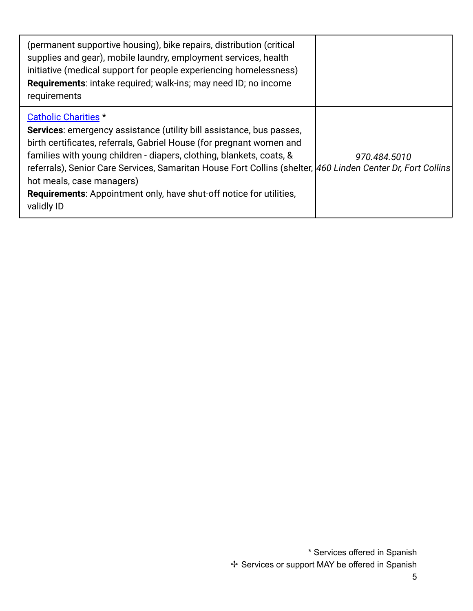| (permanent supportive housing), bike repairs, distribution (critical<br>supplies and gear), mobile laundry, employment services, health<br>initiative (medical support for people experiencing homelessness)<br><b>Requirements:</b> intake required; walk-ins; may need ID; no income<br>requirements                                                                                                                                                                                             |              |
|----------------------------------------------------------------------------------------------------------------------------------------------------------------------------------------------------------------------------------------------------------------------------------------------------------------------------------------------------------------------------------------------------------------------------------------------------------------------------------------------------|--------------|
| <b>Catholic Charities *</b><br><b>Services:</b> emergency assistance (utility bill assistance, bus passes,<br>birth certificates, referrals, Gabriel House (for pregnant women and<br>families with young children - diapers, clothing, blankets, coats, &<br>referrals), Senior Care Services, Samaritan House Fort Collins (shelter, 460 Linden Center Dr, Fort Collins<br>hot meals, case managers)<br><b>Requirements:</b> Appointment only, have shut-off notice for utilities,<br>validly ID | 970.484.5010 |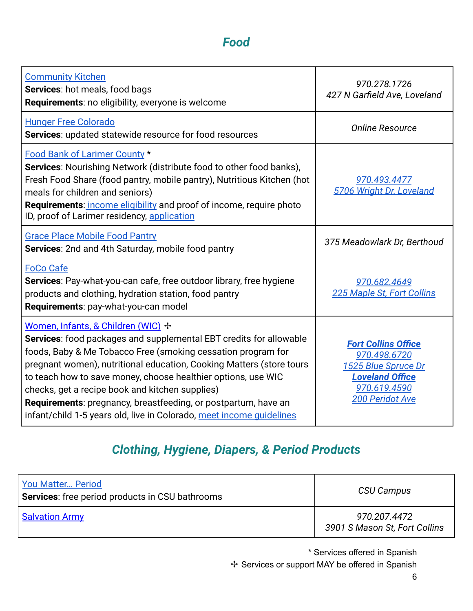### *Food*

<span id="page-6-0"></span>

| <b>Community Kitchen</b><br>Services: hot meals, food bags<br>Requirements: no eligibility, everyone is welcome                                                                                                                                                                                                                                                                                                                                                                                                | 970.278.1726<br>427 N Garfield Ave, Loveland                                                                                          |
|----------------------------------------------------------------------------------------------------------------------------------------------------------------------------------------------------------------------------------------------------------------------------------------------------------------------------------------------------------------------------------------------------------------------------------------------------------------------------------------------------------------|---------------------------------------------------------------------------------------------------------------------------------------|
| <b>Hunger Free Colorado</b><br>Services: updated statewide resource for food resources                                                                                                                                                                                                                                                                                                                                                                                                                         | <b>Online Resource</b>                                                                                                                |
| Food Bank of Larimer County *<br><b>Services:</b> Nourishing Network (distribute food to other food banks),<br>Fresh Food Share (food pantry, mobile pantry), Nutritious Kitchen (hot<br>meals for children and seniors)<br>Requirements: income eligibility and proof of income, require photo<br>ID, proof of Larimer residency, application                                                                                                                                                                 | 970.493.4477<br>5706 Wright Dr. Loveland                                                                                              |
| <b>Grace Place Mobile Food Pantry</b><br>Services: 2nd and 4th Saturday, mobile food pantry                                                                                                                                                                                                                                                                                                                                                                                                                    | 375 Meadowlark Dr, Berthoud                                                                                                           |
| <b>FoCo Cafe</b><br>Services: Pay-what-you-can cafe, free outdoor library, free hygiene<br>products and clothing, hydration station, food pantry<br>Requirements: pay-what-you-can model                                                                                                                                                                                                                                                                                                                       | 970.682.4649<br>225 Maple St, Fort Collins                                                                                            |
| Women, Infants, & Children (WIC) +<br>Services: food packages and supplemental EBT credits for allowable<br>foods, Baby & Me Tobacco Free (smoking cessation program for<br>pregnant women), nutritional education, Cooking Matters (store tours<br>to teach how to save money, choose healthier options, use WIC<br>checks, get a recipe book and kitchen supplies)<br>Requirements: pregnancy, breastfeeding, or postpartum, have an<br>infant/child 1-5 years old, live in Colorado, meet income guidelines | <b>Fort Collins Office</b><br>970.498.6720<br>1525 Blue Spruce Dr<br><b>Loveland Office</b><br>970.619.4590<br><b>200 Peridot Ave</b> |

# *Clothing, Hygiene, Diapers, & Period Products*

<span id="page-6-1"></span>

| <b>You Matter Period</b><br><b>Services:</b> free period products in CSU bathrooms | CSU Campus                                    |
|------------------------------------------------------------------------------------|-----------------------------------------------|
| <b>Salvation Army</b>                                                              | 970.207.4472<br>3901 S Mason St, Fort Collins |

\* Services offered in Spanish ✢ Services or support MAY be offered in Spanish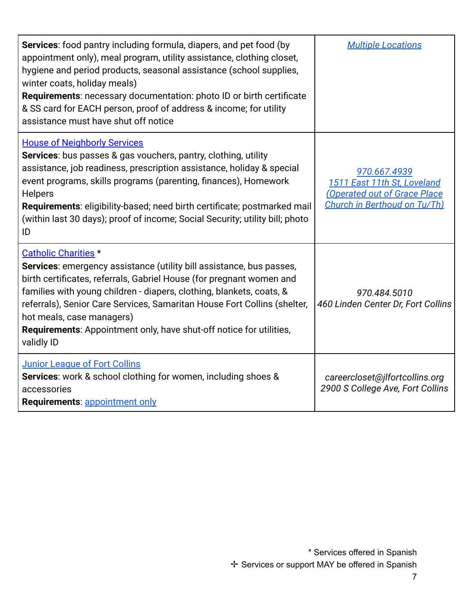| <b>Services:</b> food pantry including formula, diapers, and pet food (by<br>appointment only), meal program, utility assistance, clothing closet,<br>hygiene and period products, seasonal assistance (school supplies,<br>winter coats, holiday meals)<br><b>Requirements:</b> necessary documentation: photo ID or birth certificate<br>& SS card for EACH person, proof of address & income; for utility<br>assistance must have shut off notice            | <b>Multiple Locations</b>                                                                                         |
|-----------------------------------------------------------------------------------------------------------------------------------------------------------------------------------------------------------------------------------------------------------------------------------------------------------------------------------------------------------------------------------------------------------------------------------------------------------------|-------------------------------------------------------------------------------------------------------------------|
| <b>House of Neighborly Services</b><br><b>Services:</b> bus passes & gas vouchers, pantry, clothing, utility<br>assistance, job readiness, prescription assistance, holiday & special<br>event programs, skills programs (parenting, finances), Homework<br><b>Helpers</b><br><b>Requirements:</b> eligibility-based; need birth certificate; postmarked mail<br>(within last 30 days); proof of income; Social Security; utility bill; photo<br>ID             | 970.667.4939<br>1511 East 11th St, Loveland<br><b>Operated out of Grace Place</b><br>Church in Berthoud on Tu/Th) |
| <b>Catholic Charities</b> *<br><b>Services:</b> emergency assistance (utility bill assistance, bus passes,<br>birth certificates, referrals, Gabriel House (for pregnant women and<br>families with young children - diapers, clothing, blankets, coats, &<br>referrals), Senior Care Services, Samaritan House Fort Collins (shelter,<br>hot meals, case managers)<br><b>Requirements:</b> Appointment only, have shut-off notice for utilities,<br>validly ID | 970.484.5010<br>460 Linden Center Dr, Fort Collins                                                                |
| <b>Junior League of Fort Collins</b><br><b>Services:</b> work & school clothing for women, including shoes &<br>accessories<br>Requirements: appointment only                                                                                                                                                                                                                                                                                                   | careercloset@jlfortcollins.org<br>2900 S College Ave, Fort Collins                                                |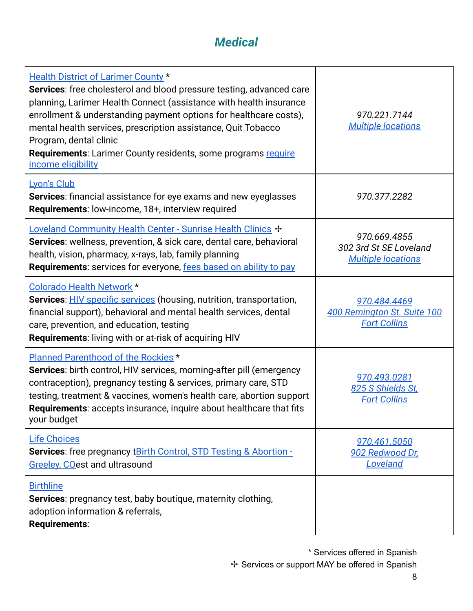### *Medical*

<span id="page-8-0"></span>

| <b>Health District of Larimer County *</b><br>Services: free cholesterol and blood pressure testing, advanced care<br>planning, Larimer Health Connect (assistance with health insurance<br>enrollment & understanding payment options for healthcare costs),<br>mental health services, prescription assistance, Quit Tobacco<br>Program, dental clinic<br>Requirements: Larimer County residents, some programs require<br>income eligibility | 970.221.7144<br><b>Multiple locations</b>                           |
|-------------------------------------------------------------------------------------------------------------------------------------------------------------------------------------------------------------------------------------------------------------------------------------------------------------------------------------------------------------------------------------------------------------------------------------------------|---------------------------------------------------------------------|
| Lyon's Club<br><b>Services:</b> financial assistance for eye exams and new eyeglasses<br>Requirements: low-income, 18+, interview required                                                                                                                                                                                                                                                                                                      | 970.377.2282                                                        |
| Loveland Community Health Center - Sunrise Health Clinics +<br>Services: wellness, prevention, & sick care, dental care, behavioral<br>health, vision, pharmacy, x-rays, lab, family planning<br>Requirements: services for everyone, fees based on ability to pay                                                                                                                                                                              | 970.669.4855<br>302 3rd St SE Loveland<br><b>Multiple locations</b> |
| Colorado Health Network *<br><b>Services: HIV specific services (housing, nutrition, transportation,</b><br>financial support), behavioral and mental health services, dental<br>care, prevention, and education, testing<br>Requirements: living with or at-risk of acquiring HIV                                                                                                                                                              | 970.484.4469<br>400 Remington St. Suite 100<br><b>Fort Collins</b>  |
| Planned Parenthood of the Rockies *<br>Services: birth control, HIV services, morning-after pill (emergency<br>contraception), pregnancy testing & services, primary care, STD<br>testing, treatment & vaccines, women's health care, abortion support<br>Requirements: accepts insurance, inquire about healthcare that fits<br>your budget                                                                                                    | 970.493.0281<br>825 S Shields St.<br><b>Fort Collins</b>            |
| <b>Life Choices</b><br><b>Services:</b> free pregnancy t <b>Birth Control, STD Testing &amp; Abortion -</b><br>Greeley, COest and ultrasound                                                                                                                                                                                                                                                                                                    | <u>970.461.5050</u><br>902 Redwood Dr.<br>Loveland                  |
| <b>Birthline</b><br><b>Services:</b> pregnancy test, baby boutique, maternity clothing,<br>adoption information & referrals,<br>Requirements:                                                                                                                                                                                                                                                                                                   |                                                                     |

\* Services offered in Spanish

✢ Services or support MAY be offered in Spanish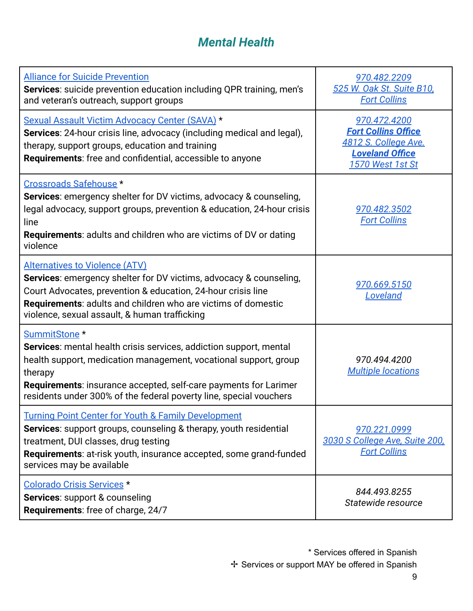### *Mental Health*

<span id="page-9-0"></span>

| <b>Alliance for Suicide Prevention</b><br>Services: suicide prevention education including QPR training, men's<br>and veteran's outreach, support groups                                                                                                                                                                       | 970.482.2209<br>525 W. Oak St. Suite B10,<br><b>Fort Collins</b>                                                        |
|--------------------------------------------------------------------------------------------------------------------------------------------------------------------------------------------------------------------------------------------------------------------------------------------------------------------------------|-------------------------------------------------------------------------------------------------------------------------|
| Sexual Assault Victim Advocacy Center (SAVA) *<br>Services: 24-hour crisis line, advocacy (including medical and legal),<br>therapy, support groups, education and training<br><b>Requirements:</b> free and confidential, accessible to anyone                                                                                | 970.472.4200<br><b>Fort Collins Office</b><br>4812 S. College Ave.<br><b>Loveland Office</b><br><b>1570 West 1st St</b> |
| Crossroads Safehouse *<br><b>Services:</b> emergency shelter for DV victims, advocacy & counseling,<br>legal advocacy, support groups, prevention & education, 24-hour crisis<br>line<br><b>Requirements:</b> adults and children who are victims of DV or dating<br>violence                                                  | 970.482.3502<br><b>Fort Collins</b>                                                                                     |
| <b>Alternatives to Violence (ATV)</b><br>Services: emergency shelter for DV victims, advocacy & counseling,<br>Court Advocates, prevention & education, 24-hour crisis line<br>Requirements: adults and children who are victims of domestic<br>violence, sexual assault, & human trafficking                                  | 970.669.5150<br>Loveland                                                                                                |
| SummitStone <sup>*</sup><br><b>Services:</b> mental health crisis services, addiction support, mental<br>health support, medication management, vocational support, group<br>therapy<br>Requirements: insurance accepted, self-care payments for Larimer<br>residents under 300% of the federal poverty line, special vouchers | 970.494.4200<br><b>Multiple locations</b>                                                                               |
| <b>Turning Point Center for Youth &amp; Family Development</b><br><b>Services:</b> support groups, counseling & therapy, youth residential<br>treatment, DUI classes, drug testing<br>Requirements: at-risk youth, insurance accepted, some grand-funded<br>services may be available                                          | 970.221.0999<br>3030 S College Ave, Suite 200,<br><b>Fort Collins</b>                                                   |
| <b>Colorado Crisis Services *</b><br><b>Services: support &amp; counseling</b><br>Requirements: free of charge, 24/7                                                                                                                                                                                                           | 844.493.8255<br>Statewide resource                                                                                      |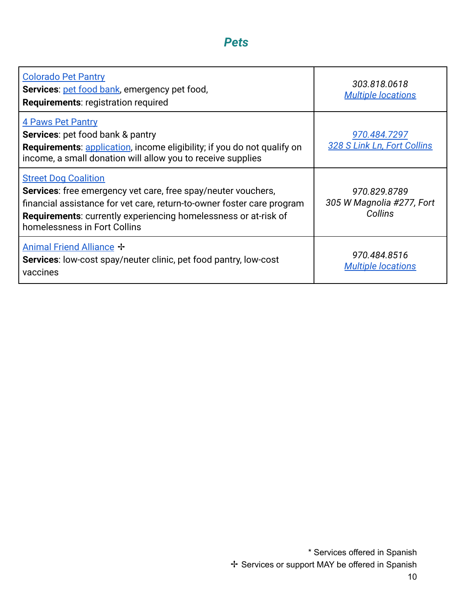#### *Pets*

<span id="page-10-0"></span>

| <b>Colorado Pet Pantry</b><br><b>Services: pet food bank, emergency pet food,</b><br><b>Requirements: registration required</b>                                                                                                                                                  | 303.818.0618<br><b>Multiple locations</b>            |
|----------------------------------------------------------------------------------------------------------------------------------------------------------------------------------------------------------------------------------------------------------------------------------|------------------------------------------------------|
| <b>4 Paws Pet Pantry</b><br><b>Services:</b> pet food bank & pantry<br><b>Requirements:</b> application, income eligibility; if you do not qualify on<br>income, a small donation will allow you to receive supplies                                                             | 970.484.7297<br>328 S Link Ln, Fort Collins          |
| <b>Street Dog Coalition</b><br><b>Services:</b> free emergency vet care, free spay/neuter vouchers,<br>financial assistance for vet care, return-to-owner foster care program<br>Requirements: currently experiencing homelessness or at-risk of<br>homelessness in Fort Collins | 970.829.8789<br>305 W Magnolia #277, Fort<br>Collins |
| Animal Friend Alliance +<br><b>Services:</b> low-cost spay/neuter clinic, pet food pantry, low-cost<br>vaccines                                                                                                                                                                  | 970.484.8516<br><b>Multiple locations</b>            |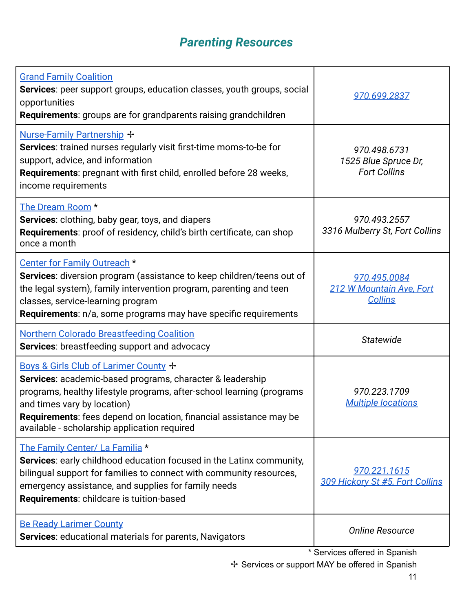# *Parenting Resources*

<span id="page-11-0"></span>

| <b>Grand Family Coalition</b><br><b>Services:</b> peer support groups, education classes, youth groups, social<br>opportunities<br><b>Requirements:</b> groups are for grandparents raising grandchildren                                                                                                                        | 970.699.2837                                                |
|----------------------------------------------------------------------------------------------------------------------------------------------------------------------------------------------------------------------------------------------------------------------------------------------------------------------------------|-------------------------------------------------------------|
| <b>Nurse-Family Partnership +</b><br><b>Services:</b> trained nurses regularly visit first-time moms-to-be for<br>support, advice, and information<br><b>Requirements:</b> pregnant with first child, enrolled before 28 weeks,<br>income requirements                                                                           | 970.498.6731<br>1525 Blue Spruce Dr,<br><b>Fort Collins</b> |
| The Dream Room *<br>Services: clothing, baby gear, toys, and diapers<br>Requirements: proof of residency, child's birth certificate, can shop<br>once a month                                                                                                                                                                    | 970.493.2557<br>3316 Mulberry St, Fort Collins              |
| Center for Family Outreach *<br>Services: diversion program (assistance to keep children/teens out of<br>the legal system), family intervention program, parenting and teen<br>classes, service-learning program<br><b>Requirements:</b> n/a, some programs may have specific requirements                                       | 970.495.0084<br>212 W Mountain Ave, Fort<br><b>Collins</b>  |
| <b>Northern Colorado Breastfeeding Coalition</b><br>Services: breastfeeding support and advocacy                                                                                                                                                                                                                                 | Statewide                                                   |
| Boys & Girls Club of Larimer County +<br>Services: academic-based programs, character & leadership<br>programs, healthy lifestyle programs, after-school learning (programs<br>and times vary by location)<br>Requirements: fees depend on location, financial assistance may be<br>available - scholarship application required | 970.223.1709<br><b>Multiple locations</b>                   |
| The Family Center/ La Familia *<br>Services: early childhood education focused in the Latinx community,<br>bilingual support for families to connect with community resources,<br>emergency assistance, and supplies for family needs<br>Requirements: childcare is tuition-based                                                | 970.221.1615<br>309 Hickory St #5, Fort Collins             |
| <b>Be Ready Larimer County</b><br><b>Services:</b> educational materials for parents, Navigators                                                                                                                                                                                                                                 | <b>Online Resource</b>                                      |
|                                                                                                                                                                                                                                                                                                                                  | * Services offered in Spanish                               |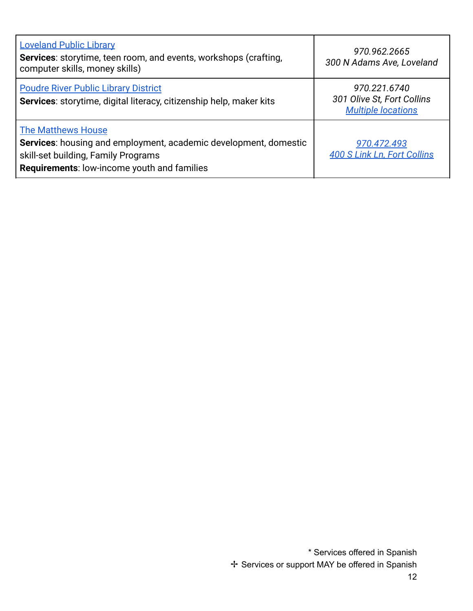| <b>Loveland Public Library</b><br>Services: storytime, teen room, and events, workshops (crafting,<br>computer skills, money skills)                                                | 970.962.2665<br>300 N Adams Ave, Loveland                               |
|-------------------------------------------------------------------------------------------------------------------------------------------------------------------------------------|-------------------------------------------------------------------------|
| <b>Poudre River Public Library District</b><br>Services: storytime, digital literacy, citizenship help, maker kits                                                                  | 970.221.6740<br>301 Olive St, Fort Collins<br><b>Multiple locations</b> |
| <b>The Matthews House</b><br>Services: housing and employment, academic development, domestic<br>skill-set building, Family Programs<br>Requirements: low-income youth and families | 970.472.493<br><b>400 S Link Ln, Fort Collins</b>                       |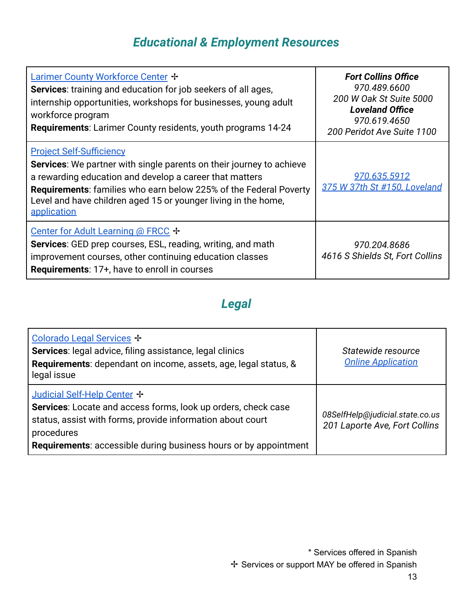# *Educational & Employment Resources*

<span id="page-13-0"></span>

| Larimer County Workforce Center +<br>Services: training and education for job seekers of all ages,<br>internship opportunities, workshops for businesses, young adult<br>workforce program<br><b>Requirements:</b> Larimer County residents, youth programs 14-24                                                                      | <b>Fort Collins Office</b><br>970.489.6600<br>200 W Oak St Suite 5000<br><b>Loveland Office</b><br>970.619.4650<br>200 Peridot Ave Suite 1100 |
|----------------------------------------------------------------------------------------------------------------------------------------------------------------------------------------------------------------------------------------------------------------------------------------------------------------------------------------|-----------------------------------------------------------------------------------------------------------------------------------------------|
| <b>Project Self-Sufficiency</b><br><b>Services:</b> We partner with single parents on their journey to achieve<br>a rewarding education and develop a career that matters<br><b>Requirements:</b> families who earn below 225% of the Federal Poverty<br>Level and have children aged 15 or younger living in the home,<br>application | 970.635.5912<br>375 W 37th St #150, Loveland                                                                                                  |
| Center for Adult Learning @ FRCC $\div$<br><b>Services:</b> GED prep courses, ESL, reading, writing, and math<br>improvement courses, other continuing education classes<br><b>Requirements: 17+, have to enroll in courses</b>                                                                                                        | 970.204.8686<br>4616 S Shields St, Fort Collins                                                                                               |

### *Legal*

<span id="page-13-2"></span><span id="page-13-1"></span>

| Colorado Legal Services +<br>Services: legal advice, filing assistance, legal clinics<br>Requirements: dependant on income, assets, age, legal status, &<br>legal issue                                                                             | Statewide resource<br><b>Online Application</b>                  |
|-----------------------------------------------------------------------------------------------------------------------------------------------------------------------------------------------------------------------------------------------------|------------------------------------------------------------------|
| Judicial Self-Help Center +<br>Services: Locate and access forms, look up orders, check case<br>status, assist with forms, provide information about court<br>procedures<br><b>Requirements:</b> accessible during business hours or by appointment | 08SelfHelp@judicial.state.co.us<br>201 Laporte Ave, Fort Collins |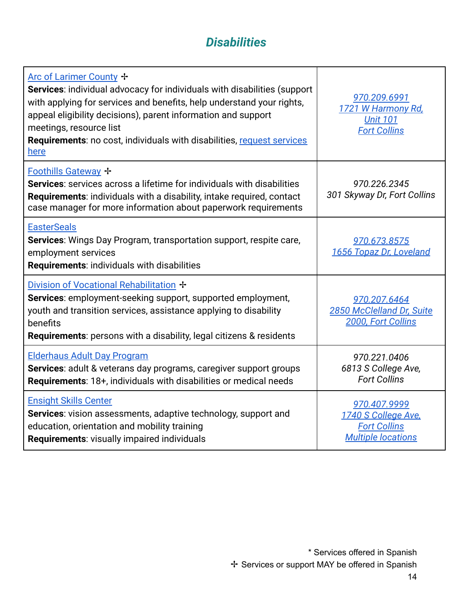### *Disabilities*

| Arc of Larimer County +<br>Services: individual advocacy for individuals with disabilities (support<br>with applying for services and benefits, help understand your rights,<br>appeal eligibility decisions), parent information and support<br>meetings, resource list<br><b>Requirements:</b> no cost, individuals with disabilities, request services<br>here | 970.209.6991<br>1721 W Harmony Rd,<br><b>Unit 101</b><br><b>Fort Collins</b>            |
|-------------------------------------------------------------------------------------------------------------------------------------------------------------------------------------------------------------------------------------------------------------------------------------------------------------------------------------------------------------------|-----------------------------------------------------------------------------------------|
| <b>Foothills Gateway +</b><br><b>Services:</b> services across a lifetime for individuals with disabilities<br>Requirements: individuals with a disability, intake required, contact<br>case manager for more information about paperwork requirements                                                                                                            | 970.226.2345<br>301 Skyway Dr, Fort Collins                                             |
| <b>EasterSeals</b><br><b>Services:</b> Wings Day Program, transportation support, respite care,<br>employment services<br>Requirements: individuals with disabilities                                                                                                                                                                                             | 970.673.8575<br>1656 Topaz Dr, Loveland                                                 |
| Division of Vocational Rehabilitation +<br><b>Services:</b> employment-seeking support, supported employment,<br>youth and transition services, assistance applying to disability<br>benefits<br><b>Requirements:</b> persons with a disability, legal citizens & residents                                                                                       | 970.207.6464<br>2850 McClelland Dr, Suite<br>2000, Fort Collins                         |
| <b>Elderhaus Adult Day Program</b><br>Services: adult & veterans day programs, caregiver support groups<br><b>Requirements: 18+, individuals with disabilities or medical needs</b>                                                                                                                                                                               | 970.221.0406<br>6813 S College Ave,<br><b>Fort Collins</b>                              |
| <b>Ensight Skills Center</b><br>Services: vision assessments, adaptive technology, support and<br>education, orientation and mobility training<br><b>Requirements: visually impaired individuals</b>                                                                                                                                                              | 970.407.9999<br>1740 S College Ave,<br><b>Fort Collins</b><br><b>Multiple locations</b> |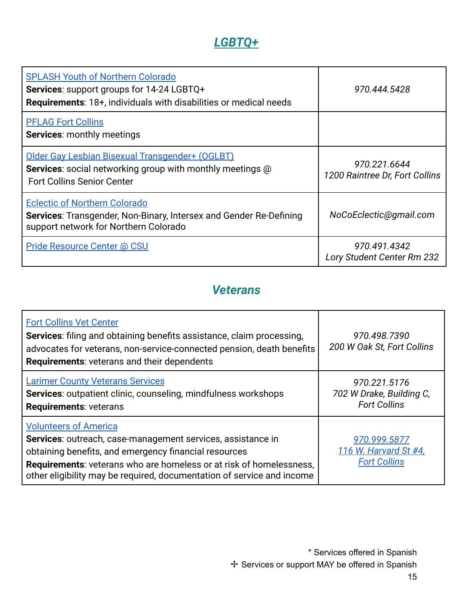### *[LGBTQ+](https://prideresourcecenter.colostate.edu/resources/northern-colorado-fort-collins-resources/)*

<span id="page-15-0"></span>

| <b>SPLASH Youth of Northern Colorado</b><br>Services: support groups for 14-24 LGBTQ+<br><b>Requirements: 18+, individuals with disabilities or medical needs</b> | 970.444.5428                                   |
|-------------------------------------------------------------------------------------------------------------------------------------------------------------------|------------------------------------------------|
| <b>PFLAG Fort Collins</b><br><b>Services: monthly meetings</b>                                                                                                    |                                                |
| Older Gay Lesbian Bisexual Transgender+ (OGLBT)<br><b>Services:</b> social networking group with monthly meetings @<br><b>Fort Collins Senior Center</b>          | 970.221.6644<br>1200 Raintree Dr, Fort Collins |
| <b>Eclectic of Northern Colorado</b><br>Services: Transgender, Non-Binary, Intersex and Gender Re-Defining<br>support network for Northern Colorado               | NoCoEclectic@gmail.com                         |
| <b>Pride Resource Center @ CSU</b>                                                                                                                                | 970.491.4342<br>Lory Student Center Rm 232     |

### *Veterans*

<span id="page-15-1"></span>

| <b>Fort Collins Vet Center</b><br><b>Services:</b> filing and obtaining benefits assistance, claim processing,<br>advocates for veterans, non-service-connected pension, death benefits<br><b>Requirements: veterans and their dependents</b>                                                                | 970.498.7390<br>200 W Oak St, Fort Collins                      |
|--------------------------------------------------------------------------------------------------------------------------------------------------------------------------------------------------------------------------------------------------------------------------------------------------------------|-----------------------------------------------------------------|
| <b>Larimer County Veterans Services</b><br>Services: outpatient clinic, counseling, mindfulness workshops<br><b>Requirements: veterans</b>                                                                                                                                                                   | 970.221.5176<br>702 W Drake, Building C,<br><b>Fort Collins</b> |
| <b>Volunteers of America</b><br>Services: outreach, case-management services, assistance in<br>obtaining benefits, and emergency financial resources<br><b>Requirements:</b> veterans who are homeless or at risk of homelessness,<br>other eligibility may be required, documentation of service and income | 970.999.5877<br>116 W. Harvard St #4,<br><b>Fort Collins</b>    |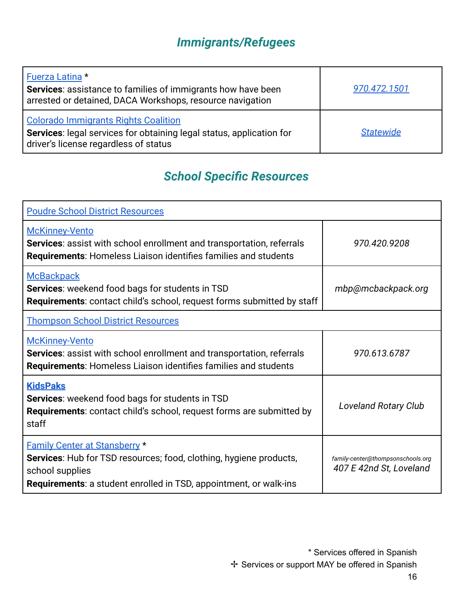# *Immigrants/Refugees*

<span id="page-16-0"></span>

| Fuerza Latina *<br><b>Services:</b> assistance to families of immigrants how have been<br>arrested or detained, DACA Workshops, resource navigation          | 970.472.1501     |
|--------------------------------------------------------------------------------------------------------------------------------------------------------------|------------------|
| <b>Colorado Immigrants Rights Coalition</b><br>Services: legal services for obtaining legal status, application for<br>driver's license regardless of status | <b>Statewide</b> |

# *School Specific Resources*

<span id="page-16-1"></span>

| <b>Poudre School District Resources</b>                                                                                                                                                                   |                                                              |
|-----------------------------------------------------------------------------------------------------------------------------------------------------------------------------------------------------------|--------------------------------------------------------------|
| <b>McKinney-Vento</b><br><b>Services:</b> assist with school enrollment and transportation, referrals<br><b>Requirements:</b> Homeless Liaison identifies families and students                           | 970.420.9208                                                 |
| <b>McBackpack</b><br>Services: weekend food bags for students in TSD<br><b>Requirements:</b> contact child's school, request forms submitted by staff                                                     | mbp@mcbackpack.org                                           |
| <b>Thompson School District Resources</b>                                                                                                                                                                 |                                                              |
| <b>McKinney-Vento</b><br><b>Services:</b> assist with school enrollment and transportation, referrals<br><b>Requirements:</b> Homeless Liaison identifies families and students                           | 970.613.6787                                                 |
| <b>KidsPaks</b><br><b>Services:</b> weekend food bags for students in TSD<br>Requirements: contact child's school, request forms are submitted by<br>staff                                                | <b>Loveland Rotary Club</b>                                  |
| <b>Family Center at Stansberry *</b><br>Services: Hub for TSD resources; food, clothing, hygiene products,<br>school supplies<br><b>Requirements:</b> a student enrolled in TSD, appointment, or walk-ins | family-center@thompsonschools.org<br>407 E 42nd St, Loveland |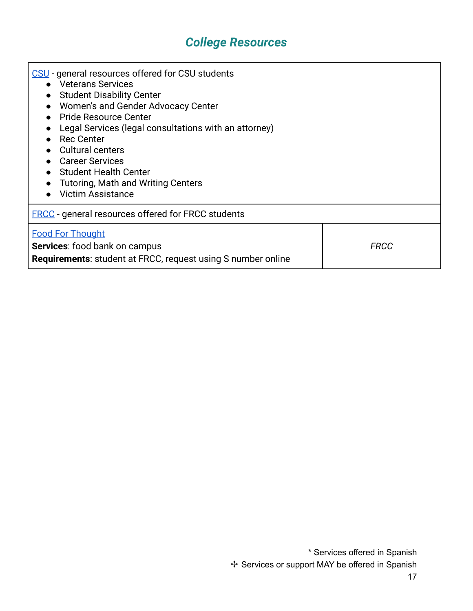# *College Resources*

<span id="page-17-0"></span>

| CSU - general resources offered for CSU students<br>• Veterans Services<br><b>Student Disability Center</b><br>$\bullet$<br>Women's and Gender Advocacy Center<br>$\bullet$<br>• Pride Resource Center<br>Legal Services (legal consultations with an attorney)<br><b>Rec Center</b><br><b>Cultural centers</b><br><b>Career Services</b><br>• Student Health Center<br><b>Tutoring, Math and Writing Centers</b><br><b>Victim Assistance</b> |             |
|-----------------------------------------------------------------------------------------------------------------------------------------------------------------------------------------------------------------------------------------------------------------------------------------------------------------------------------------------------------------------------------------------------------------------------------------------|-------------|
| <b>FRCC</b> - general resources offered for FRCC students                                                                                                                                                                                                                                                                                                                                                                                     |             |
| <b>Food For Thought</b><br><b>Services:</b> food bank on campus<br><b>Requirements:</b> student at FRCC, request using S number online                                                                                                                                                                                                                                                                                                        | <b>FRCC</b> |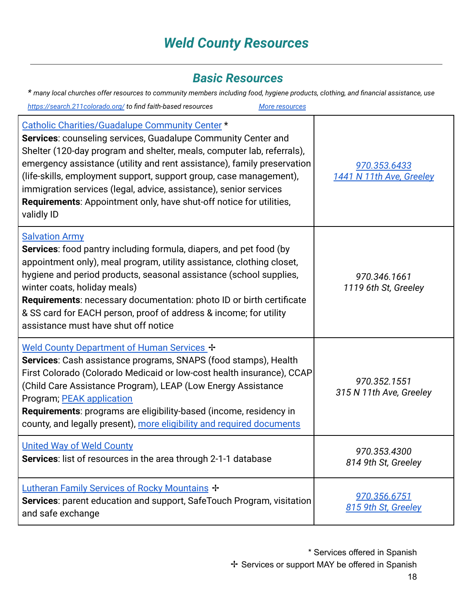# *Weld County Resources*

#### *Basic Resources*

<span id="page-18-1"></span><span id="page-18-0"></span>*\* many local churches offer resources to community members including food, hygiene products, clothing, and financial assistance, use*

*<https://search.211colorado.org/> to find faith-based resources [More resources](https://www.needhelppayingbills.com/html/weld_county_assistance_program.html)*

| Catholic Charities/Guadalupe Community Center *<br>Services: counseling services, Guadalupe Community Center and<br>Shelter (120-day program and shelter, meals, computer lab, referrals),<br>emergency assistance (utility and rent assistance), family preservation<br>(life-skills, employment support, support group, case management),<br>immigration services (legal, advice, assistance), senior services<br><b>Requirements:</b> Appointment only, have shut-off notice for utilities,<br>validly ID | 970.353.6433<br>1441 N 11th Ave, Greeley |
|--------------------------------------------------------------------------------------------------------------------------------------------------------------------------------------------------------------------------------------------------------------------------------------------------------------------------------------------------------------------------------------------------------------------------------------------------------------------------------------------------------------|------------------------------------------|
| <b>Salvation Army</b><br><b>Services:</b> food pantry including formula, diapers, and pet food (by<br>appointment only), meal program, utility assistance, clothing closet,<br>hygiene and period products, seasonal assistance (school supplies,<br>winter coats, holiday meals)<br><b>Requirements:</b> necessary documentation: photo ID or birth certificate<br>& SS card for EACH person, proof of address & income; for utility<br>assistance must have shut off notice                                | 970.346.1661<br>1119 6th St, Greeley     |
| Weld County Department of Human Services +<br>Services: Cash assistance programs, SNAPS (food stamps), Health<br>First Colorado (Colorado Medicaid or low-cost health insurance), CCAP<br>(Child Care Assistance Program), LEAP (Low Energy Assistance<br>Program; PEAK application<br>Requirements: programs are eligibility-based (income, residency in<br>county, and legally present), more eligibility and required documents                                                                           | 970.352.1551<br>315 N 11th Ave, Greeley  |
| <b>United Way of Weld County</b><br>Services: list of resources in the area through 2-1-1 database                                                                                                                                                                                                                                                                                                                                                                                                           | 970.353.4300<br>814 9th St, Greeley      |
| Lutheran Family Services of Rocky Mountains +<br>Services: parent education and support, SafeTouch Program, visitation<br>and safe exchange                                                                                                                                                                                                                                                                                                                                                                  | 970.356.6751<br>815 9th St, Greeley      |

\* Services offered in Spanish ✢ Services or support MAY be offered in Spanish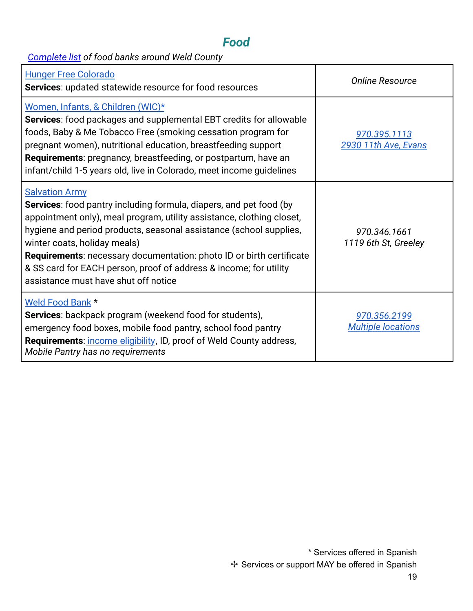### *Food*

<span id="page-19-0"></span>*[Complete list](https://www.needhelppayingbills.com/html/weld_county_free_food_pantries.html) of food banks around Weld County*

| <b>Hunger Free Colorado</b><br>Services: updated statewide resource for food resources                                                                                                                                                                                                                                                                                                                                                                                        | <b>Online Resource</b>                    |
|-------------------------------------------------------------------------------------------------------------------------------------------------------------------------------------------------------------------------------------------------------------------------------------------------------------------------------------------------------------------------------------------------------------------------------------------------------------------------------|-------------------------------------------|
| Women, Infants, & Children (WIC)*<br><b>Services:</b> food packages and supplemental EBT credits for allowable<br>foods, Baby & Me Tobacco Free (smoking cessation program for<br>pregnant women), nutritional education, breastfeeding support<br>Requirements: pregnancy, breastfeeding, or postpartum, have an<br>infant/child 1-5 years old, live in Colorado, meet income guidelines                                                                                     | 970.395.1113<br>2930 11th Ave, Evans      |
| <b>Salvation Army</b><br><b>Services:</b> food pantry including formula, diapers, and pet food (by<br>appointment only), meal program, utility assistance, clothing closet,<br>hygiene and period products, seasonal assistance (school supplies,<br>winter coats, holiday meals)<br><b>Requirements:</b> necessary documentation: photo ID or birth certificate<br>& SS card for EACH person, proof of address & income; for utility<br>assistance must have shut off notice | 970.346.1661<br>1119 6th St, Greeley      |
| Weld Food Bank *<br>Services: backpack program (weekend food for students),<br>emergency food boxes, mobile food pantry, school food pantry<br>Requirements: income eligibility, ID, proof of Weld County address,<br>Mobile Pantry has no requirements                                                                                                                                                                                                                       | 970.356.2199<br><b>Multiple locations</b> |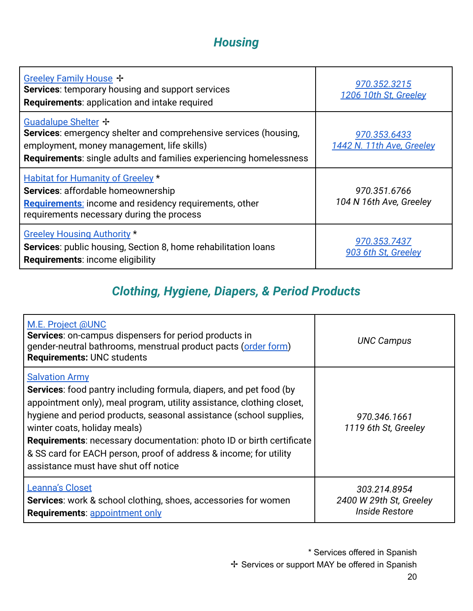# *Housing*

| Greeley Family House +<br><b>Services:</b> temporary housing and support services<br>Requirements: application and intake required                                                                          | 970.352.3215<br>1206 10th St, Greeley     |
|-------------------------------------------------------------------------------------------------------------------------------------------------------------------------------------------------------------|-------------------------------------------|
| Guadalupe Shelter +<br>Services: emergency shelter and comprehensive services (housing,<br>employment, money management, life skills)<br>Requirements: single adults and families experiencing homelessness | 970.353.6433<br>1442 N. 11th Ave, Greeley |
| <b>Habitat for Humanity of Greeley *</b><br>Services: affordable homeownership<br><b>Requirements:</b> income and residency requirements, other<br>requirements necessary during the process                | 970.351.6766<br>104 N 16th Ave, Greeley   |
| <b>Greeley Housing Authority *</b><br><b>Services:</b> public housing, Section 8, home rehabilitation loans<br><b>Requirements: income eligibility</b>                                                      | 970.353.7437<br>903 6th St, Greeley       |

### *Clothing, Hygiene, Diapers, & Period Products*

| M.E. Project @UNC<br><b>Services:</b> on-campus dispensers for period products in<br>gender-neutral bathrooms, menstrual product pacts (order form)<br><b>Requirements: UNC students</b>                                                                                                                                                                                                                                                                                      | <b>UNC Campus</b>                                                |
|-------------------------------------------------------------------------------------------------------------------------------------------------------------------------------------------------------------------------------------------------------------------------------------------------------------------------------------------------------------------------------------------------------------------------------------------------------------------------------|------------------------------------------------------------------|
| <b>Salvation Army</b><br><b>Services:</b> food pantry including formula, diapers, and pet food (by<br>appointment only), meal program, utility assistance, clothing closet,<br>hygiene and period products, seasonal assistance (school supplies,<br>winter coats, holiday meals)<br><b>Requirements:</b> necessary documentation: photo ID or birth certificate<br>& SS card for EACH person, proof of address & income; for utility<br>assistance must have shut off notice | 970.346.1661<br>1119 6th St, Greeley                             |
| Leanna's Closet<br><b>Services:</b> work & school clothing, shoes, accessories for women<br><b>Requirements: appointment only</b>                                                                                                                                                                                                                                                                                                                                             | 303.214.8954<br>2400 W 29th St, Greeley<br><b>Inside Restore</b> |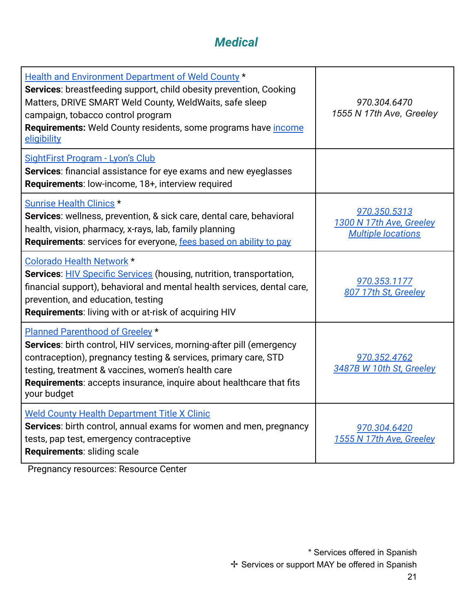### *Medical*

| <b>Health and Environment Department of Weld County *</b><br>Services: breastfeeding support, child obesity prevention, Cooking<br>Matters, DRIVE SMART Weld County, WeldWaits, safe sleep<br>campaign, tobacco control program<br>Requirements: Weld County residents, some programs have <i>income</i><br>eligibility              | 970.304.6470<br>1555 N 17th Ave, Greeley                              |
|--------------------------------------------------------------------------------------------------------------------------------------------------------------------------------------------------------------------------------------------------------------------------------------------------------------------------------------|-----------------------------------------------------------------------|
| SightFirst Program - Lyon's Club<br>Services: financial assistance for eye exams and new eyeglasses<br>Requirements: low-income, 18+, interview required                                                                                                                                                                             |                                                                       |
| <b>Sunrise Health Clinics *</b><br>Services: wellness, prevention, & sick care, dental care, behavioral<br>health, vision, pharmacy, x-rays, lab, family planning<br>Requirements: services for everyone, fees based on ability to pay                                                                                               | 970.350.5313<br>1300 N 17th Ave, Greeley<br><b>Multiple locations</b> |
| <b>Colorado Health Network *</b><br>Services: <b>HIV Specific Services</b> (housing, nutrition, transportation,<br>financial support), behavioral and mental health services, dental care,<br>prevention, and education, testing<br><b>Requirements: living with or at-risk of acquiring HIV</b>                                     | 970.353.1177<br>807 17th St, Greeley                                  |
| Planned Parenthood of Greeley *<br><b>Services:</b> birth control, HIV services, morning-after pill (emergency<br>contraception), pregnancy testing & services, primary care, STD<br>testing, treatment & vaccines, women's health care<br><b>Requirements:</b> accepts insurance, inquire about healthcare that fits<br>your budget | 970.352.4762<br>3487B W 10th St, Greeley                              |
| <b>Weld County Health Department Title X Clinic</b><br>Services: birth control, annual exams for women and men, pregnancy<br>tests, pap test, emergency contraceptive<br>Requirements: sliding scale                                                                                                                                 | 970.304.6420<br>1555 N 17th Ave, Greeley                              |

Pregnancy resources: Resource Center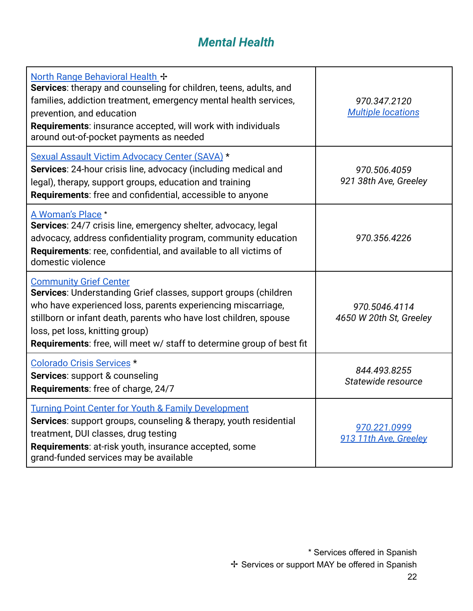### *Mental Health*

<span id="page-22-1"></span><span id="page-22-0"></span>

| North Range Behavioral Health +<br>Services: therapy and counseling for children, teens, adults, and<br>families, addiction treatment, emergency mental health services,<br>prevention, and education<br>Requirements: insurance accepted, will work with individuals<br>around out-of-pocket payments as needed                                  | 970.347.2120<br><b>Multiple locations</b> |
|---------------------------------------------------------------------------------------------------------------------------------------------------------------------------------------------------------------------------------------------------------------------------------------------------------------------------------------------------|-------------------------------------------|
| Sexual Assault Victim Advocacy Center (SAVA) *<br>Services: 24-hour crisis line, advocacy (including medical and<br>legal), therapy, support groups, education and training<br>Requirements: free and confidential, accessible to anyone                                                                                                          | 970.506.4059<br>921 38th Ave, Greeley     |
| A Woman's Place *<br>Services: 24/7 crisis line, emergency shelter, advocacy, legal<br>advocacy, address confidentiality program, community education<br>Requirements: ree, confidential, and available to all victims of<br>domestic violence                                                                                                    | 970.356.4226                              |
| <b>Community Grief Center</b><br>Services: Understanding Grief classes, support groups (children<br>who have experienced loss, parents experiencing miscarriage,<br>stillborn or infant death, parents who have lost children, spouse<br>loss, pet loss, knitting group)<br>Requirements: free, will meet w/ staff to determine group of best fit | 970.5046.4114<br>4650 W 20th St, Greeley  |
| Colorado Crisis Services *<br>Services: support & counseling<br>Requirements: free of charge, 24/7                                                                                                                                                                                                                                                | 844.493.8255<br>Statewide resource        |
| <b>Turning Point Center for Youth &amp; Family Development</b><br>Services: support groups, counseling & therapy, youth residential<br>treatment, DUI classes, drug testing<br>Requirements: at-risk youth, insurance accepted, some<br>grand-funded services may be available                                                                    | 970.221.0999<br>913 11th Ave, Greeley     |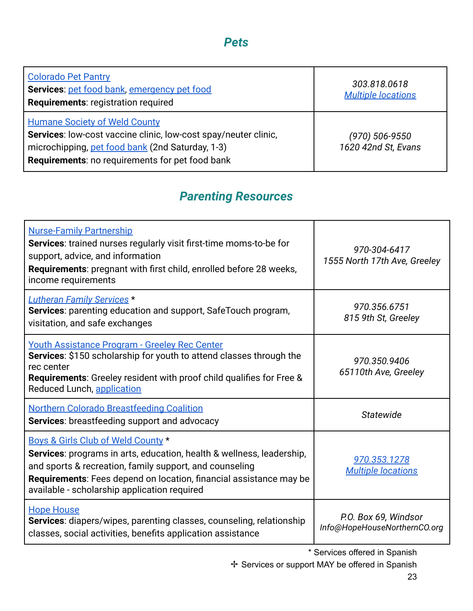#### *Pets*

| <b>Colorado Pet Pantry</b><br>Services: pet food bank, emergency pet food<br><b>Requirements: registration required</b>                                                                                               | 303.818.0618<br><b>Multiple locations</b> |
|-----------------------------------------------------------------------------------------------------------------------------------------------------------------------------------------------------------------------|-------------------------------------------|
| <b>Humane Society of Weld County</b><br>Services: low-cost vaccine clinic, low-cost spay/neuter clinic,<br>microchipping, pet food bank (2nd Saturday, 1-3)<br><b>Requirements:</b> no requirements for pet food bank | (970) 506-9550<br>1620 42nd St, Evans     |

### *Parenting Resources*

<span id="page-23-0"></span>

| <b>Nurse-Family Partnership</b><br>Services: trained nurses regularly visit first-time moms-to-be for<br>support, advice, and information<br><b>Requirements:</b> pregnant with first child, enrolled before 28 weeks,<br>income requirements                                                       | 970-304-6417<br>1555 North 17th Ave, Greeley         |
|-----------------------------------------------------------------------------------------------------------------------------------------------------------------------------------------------------------------------------------------------------------------------------------------------------|------------------------------------------------------|
| <b>Lutheran Family Services *</b><br><b>Services:</b> parenting education and support, SafeTouch program,<br>visitation, and safe exchanges                                                                                                                                                         | 970.356.6751<br>815 9th St, Greeley                  |
| <b>Youth Assistance Program - Greeley Rec Center</b><br>Services: \$150 scholarship for youth to attend classes through the<br>rec center<br><b>Requirements:</b> Greeley resident with proof child qualifies for Free &<br>Reduced Lunch, application                                              | 970.350.9406<br>65110th Ave, Greeley                 |
| <b>Northern Colorado Breastfeeding Coalition</b><br><b>Services:</b> breastfeeding support and advocacy                                                                                                                                                                                             | Statewide                                            |
| Boys & Girls Club of Weld County *<br>Services: programs in arts, education, health & wellness, leadership,<br>and sports & recreation, family support, and counseling<br><b>Requirements:</b> Fees depend on location, financial assistance may be<br>available - scholarship application required | 970.353.1278<br><b>Multiple locations</b>            |
| <b>Hope House</b><br><b>Services:</b> diapers/wipes, parenting classes, counseling, relationship<br>classes, social activities, benefits application assistance                                                                                                                                     | P.O. Box 69, Windsor<br>Info@HopeHouseNorthernCO.org |

\* Services offered in Spanish

✢ Services or support MAY be offered in Spanish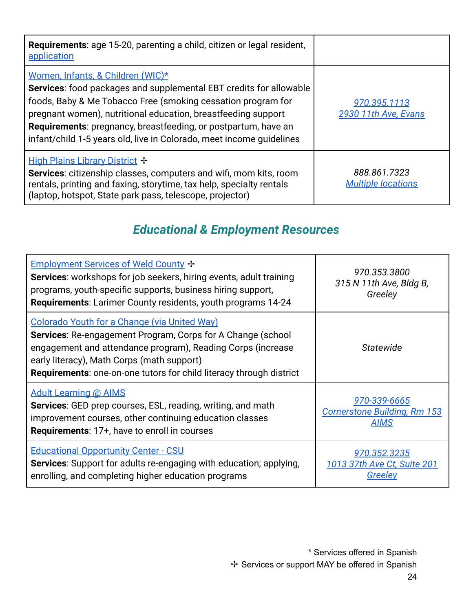| <b>Requirements:</b> age 15-20, parenting a child, citizen or legal resident,<br>application                                                                                                                                                                                                                                                                                              |                                           |
|-------------------------------------------------------------------------------------------------------------------------------------------------------------------------------------------------------------------------------------------------------------------------------------------------------------------------------------------------------------------------------------------|-------------------------------------------|
| Women, Infants, & Children (WIC)*<br>Services: food packages and supplemental EBT credits for allowable<br>foods, Baby & Me Tobacco Free (smoking cessation program for<br>pregnant women), nutritional education, breastfeeding support<br><b>Requirements:</b> pregnancy, breastfeeding, or postpartum, have an<br>infant/child 1-5 years old, live in Colorado, meet income guidelines | 970.395.1113<br>2930 11th Ave, Evans      |
| High Plains Library District +<br>Services: citizenship classes, computers and wifi, mom kits, room<br>rentals, printing and faxing, storytime, tax help, specialty rentals<br>(laptop, hotspot, State park pass, telescope, projector)                                                                                                                                                   | 888.861.7323<br><b>Multiple locations</b> |

# *Educational & Employment Resources*

<span id="page-24-1"></span><span id="page-24-0"></span>

| Employment Services of Weld County +<br><b>Services:</b> workshops for job seekers, hiring events, adult training<br>programs, youth-specific supports, business hiring support,<br><b>Requirements:</b> Larimer County residents, youth programs 14-24                                                | 970.353.3800<br>315 N 11th Ave, Bldg B,<br>Greeley                 |
|--------------------------------------------------------------------------------------------------------------------------------------------------------------------------------------------------------------------------------------------------------------------------------------------------------|--------------------------------------------------------------------|
| Colorado Youth for a Change (via United Way)<br><b>Services:</b> Re-engagement Program, Corps for A Change (school<br>engagement and attendance program), Reading Corps (increase<br>early literacy), Math Corps (math support)<br>Requirements: one-on-one tutors for child literacy through district | <b>Statewide</b>                                                   |
| <b>Adult Learning @ AIMS</b><br><b>Services:</b> GED prep courses, ESL, reading, writing, and math<br>improvement courses, other continuing education classes<br><b>Requirements: 17+, have to enroll in courses</b>                                                                                   | 970-339-6665<br><b>Cornerstone Building, Rm 153</b><br><b>AIMS</b> |
| <b>Educational Opportunity Center - CSU</b><br>Services: Support for adults re-engaging with education; applying,<br>enrolling, and completing higher education programs                                                                                                                               | 970.352.3235<br>1013 37th Ave Ct, Suite 201<br><u>Greeley</u>      |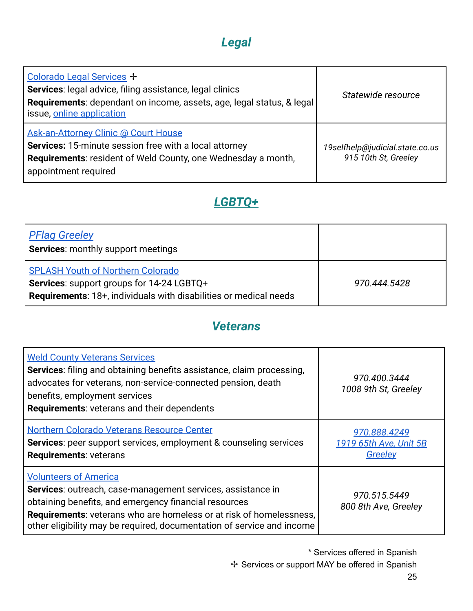# *Legal*

| Colorado Legal Services +<br>Services: legal advice, filing assistance, legal clinics<br>Requirements: dependant on income, assets, age, legal status, & legal<br>issue, online application    | Statewide resource                                      |
|------------------------------------------------------------------------------------------------------------------------------------------------------------------------------------------------|---------------------------------------------------------|
| Ask-an-Attorney Clinic @ Court House<br>Services: 15-minute session free with a local attorney<br><b>Requirements:</b> resident of Weld County, one Wednesday a month,<br>appointment required | 19selfhelp@judicial.state.co.us<br>915 10th St, Greeley |

### *[LGBTQ+](https://prideresourcecenter.colostate.edu/resources/northern-colorado-fort-collins-resources/)*

<span id="page-25-0"></span>

| <b>PFlag Greeley</b><br>Services: monthly support meetings                                                                                                        |              |
|-------------------------------------------------------------------------------------------------------------------------------------------------------------------|--------------|
| <b>SPLASH Youth of Northern Colorado</b><br>Services: support groups for 14-24 LGBTQ+<br><b>Requirements: 18+, individuals with disabilities or medical needs</b> | 970.444.5428 |

#### *Veterans*

<span id="page-25-1"></span>

| <b>Weld County Veterans Services</b><br><b>Services:</b> filing and obtaining benefits assistance, claim processing,<br>advocates for veterans, non-service-connected pension, death<br>benefits, employment services<br><b>Requirements: veterans and their dependents</b>                                  | 970.400.3444<br>1008 9th St, Greeley              |
|--------------------------------------------------------------------------------------------------------------------------------------------------------------------------------------------------------------------------------------------------------------------------------------------------------------|---------------------------------------------------|
| <b>Northern Colorado Veterans Resource Center</b><br><b>Services:</b> peer support services, employment & counseling services<br><b>Requirements: veterans</b>                                                                                                                                               | 970.888.4249<br>1919 65th Ave, Unit 5B<br>Greeley |
| <b>Volunteers of America</b><br>Services: outreach, case-management services, assistance in<br>obtaining benefits, and emergency financial resources<br><b>Requirements:</b> veterans who are homeless or at risk of homelessness,<br>other eligibility may be required, documentation of service and income | 970.515.5449<br>800 8th Ave, Greeley              |

\* Services offered in Spanish ✢ Services or support MAY be offered in Spanish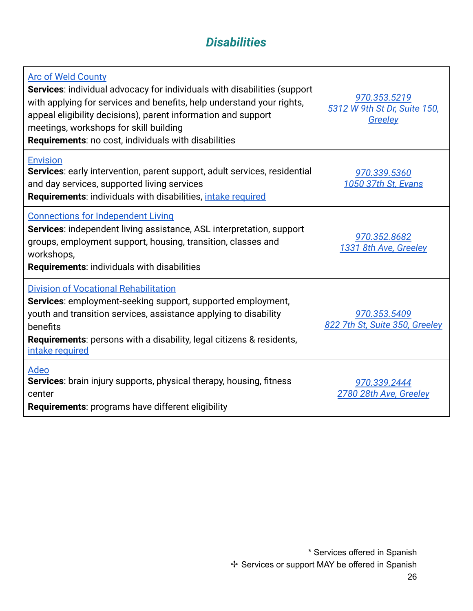### *Disabilities*

| <b>Arc of Weld County</b><br><b>Services:</b> individual advocacy for individuals with disabilities (support<br>with applying for services and benefits, help understand your rights,<br>appeal eligibility decisions), parent information and support<br>meetings, workshops for skill building<br><b>Requirements: no cost, individuals with disabilities</b> | 970.353.5219<br>5312 W 9th St Dr, Suite 150,<br>Greeley |
|-----------------------------------------------------------------------------------------------------------------------------------------------------------------------------------------------------------------------------------------------------------------------------------------------------------------------------------------------------------------|---------------------------------------------------------|
| <b>Envision</b><br>Services: early intervention, parent support, adult services, residential<br>and day services, supported living services<br><b>Requirements:</b> individuals with disabilities, <i>intake required</i>                                                                                                                                       | 970.339.5360<br>1050 37th St, Evans                     |
| <b>Connections for Independent Living</b><br><b>Services:</b> independent living assistance, ASL interpretation, support<br>groups, employment support, housing, transition, classes and<br>workshops,<br><b>Requirements: individuals with disabilities</b>                                                                                                    | 970.352.8682<br>1331 8th Ave, Greeley                   |
| <b>Division of Vocational Rehabilitation</b><br>Services: employment-seeking support, supported employment,<br>youth and transition services, assistance applying to disability<br>benefits<br><b>Requirements:</b> persons with a disability, legal citizens & residents,<br>intake required                                                                   | 970.353.5409<br>822 7th St, Suite 350, Greeley          |
| Adeo<br>Services: brain injury supports, physical therapy, housing, fitness<br>center<br>Requirements: programs have different eligibility                                                                                                                                                                                                                      | 970.339.2444<br>2780 28th Ave, Greeley                  |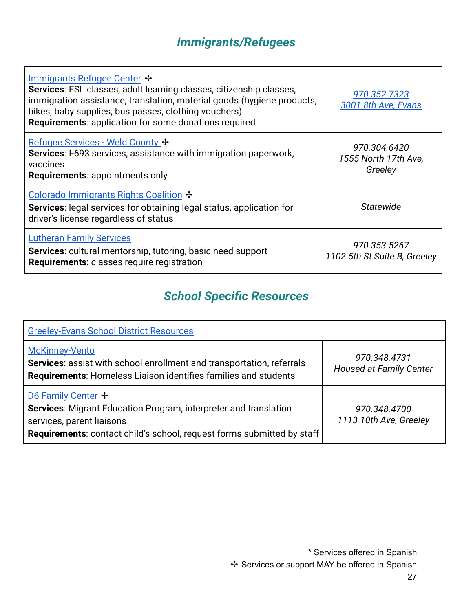# *Immigrants/Refugees*

<span id="page-27-0"></span>

| Immigrants Refugee Center +<br>Services: ESL classes, adult learning classes, citizenship classes,<br>immigration assistance, translation, material goods (hygiene products,<br>bikes, baby supplies, bus passes, clothing vouchers)<br><b>Requirements: application for some donations required</b> | 970.352.7323<br>3001 8th Ave, Evans             |
|------------------------------------------------------------------------------------------------------------------------------------------------------------------------------------------------------------------------------------------------------------------------------------------------------|-------------------------------------------------|
| Refugee Services - Weld County +<br>Services: I-693 services, assistance with immigration paperwork,<br>vaccines<br><b>Requirements: appointments only</b>                                                                                                                                           | 970.304.6420<br>1555 North 17th Ave,<br>Greeley |
| Colorado Immigrants Rights Coalition +<br><b>Services:</b> legal services for obtaining legal status, application for<br>driver's license regardless of status                                                                                                                                       | <b>Statewide</b>                                |
| <b>Lutheran Family Services</b><br><b>Services:</b> cultural mentorship, tutoring, basic need support<br>Requirements: classes require registration                                                                                                                                                  | 970.353.5267<br>1102 5th St Suite B, Greeley    |

# *School Specific Resources*

<span id="page-27-1"></span>

| <b>Greeley-Evans School District Resources</b>                                                                                                                                                       |                                                |
|------------------------------------------------------------------------------------------------------------------------------------------------------------------------------------------------------|------------------------------------------------|
| <b>McKinney-Vento</b><br><b>Services:</b> assist with school enrollment and transportation, referrals<br><b>Requirements:</b> Homeless Liaison identifies families and students                      | 970.348.4731<br><b>Housed at Family Center</b> |
| D6 Family Center +<br>Services: Migrant Education Program, interpreter and translation<br>services, parent liaisons<br><b>Requirements:</b> contact child's school, request forms submitted by staff | 970.348.4700<br>1113 10th Ave, Greeley         |